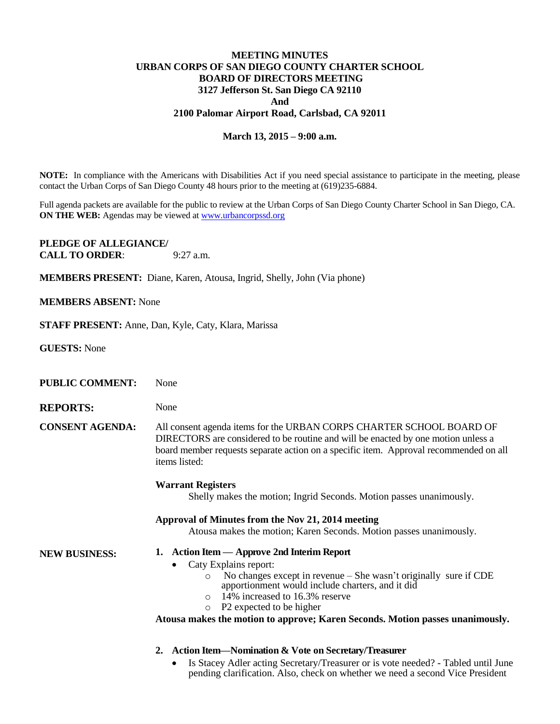## **MEETING MINUTES URBAN CORPS OF SAN DIEGO COUNTY CHARTER SCHOOL BOARD OF DIRECTORS MEETING 3127 Jefferson St. San Diego CA 92110 And 2100 Palomar Airport Road, Carlsbad, CA 92011**

## **March 13, 2015 – 9:00 a.m.**

**NOTE:** In compliance with the Americans with Disabilities Act if you need special assistance to participate in the meeting, please contact the Urban Corps of San Diego County 48 hours prior to the meeting at (619)235-6884.

Full agenda packets are available for the public to review at the Urban Corps of San Diego County Charter School in San Diego, CA. **ON THE WEB:** Agendas may be viewed at **www.urbancorpssd.org** 

**PLEDGE OF ALLEGIANCE/ CALL TO ORDER:** 9:27 a.m.

**MEMBERS PRESENT:** Diane, Karen, Atousa, Ingrid, Shelly, John (Via phone)

## **MEMBERS ABSENT:** None

**STAFF PRESENT:** Anne, Dan, Kyle, Caty, Klara, Marissa

| <b>GUESTS:</b> None    |                                                                                                                                                                                                                                                                                                                                               |
|------------------------|-----------------------------------------------------------------------------------------------------------------------------------------------------------------------------------------------------------------------------------------------------------------------------------------------------------------------------------------------|
| <b>PUBLIC COMMENT:</b> | None                                                                                                                                                                                                                                                                                                                                          |
| <b>REPORTS:</b>        | None                                                                                                                                                                                                                                                                                                                                          |
| <b>CONSENT AGENDA:</b> | All consent agenda items for the URBAN CORPS CHARTER SCHOOL BOARD OF<br>DIRECTORS are considered to be routine and will be enacted by one motion unless a<br>board member requests separate action on a specific item. Approval recommended on all<br>items listed:                                                                           |
|                        | <b>Warrant Registers</b><br>Shelly makes the motion; Ingrid Seconds. Motion passes unanimously.                                                                                                                                                                                                                                               |
|                        | Approval of Minutes from the Nov 21, 2014 meeting<br>Atousa makes the motion; Karen Seconds. Motion passes unanimously.                                                                                                                                                                                                                       |
| <b>NEW BUSINESS:</b>   | 1. Action Item - Approve 2nd Interim Report                                                                                                                                                                                                                                                                                                   |
|                        | Caty Explains report:<br>٠<br>No changes except in revenue $-$ She wasn't originally sure if CDE<br>O<br>apportionment would include charters, and it did<br>14% increased to 16.3% reserve<br>$\bigcirc$<br>P <sub>2</sub> expected to be higher<br>$\circ$<br>Atousa makes the motion to approve; Karen Seconds. Motion passes unanimously. |
|                        | <b>Action Item—Nomination &amp; Vote on Secretary/Treasurer</b><br>2.<br>Is Stacey Adler acting Secretary/Treasurer or is vote needed? - Tabled until June<br>pending clarification. Also, check on whether we need a second Vice President                                                                                                   |